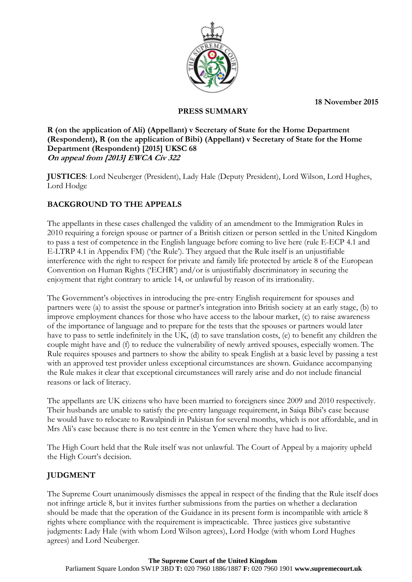**18 November 2015** 



### **PRESS SUMMARY**

### **R (on the application of Ali) (Appellant) v Secretary of State for the Home Department (Respondent), R (on the application of Bibi) (Appellant) v Secretary of State for the Home Department (Respondent) [2015] UKSC 68 On appeal from [2013] EWCA Civ 322**

**JUSTICES**: Lord Neuberger (President), Lady Hale (Deputy President), Lord Wilson, Lord Hughes, Lord Hodge

# **BACKGROUND TO THE APPEALS**

The appellants in these cases challenged the validity of an amendment to the Immigration Rules in 2010 requiring a foreign spouse or partner of a British citizen or person settled in the United Kingdom to pass a test of competence in the English language before coming to live here (rule E-ECP 4.1 and E-LTRP 4.1 in Appendix FM) ('the Rule'). They argued that the Rule itself is an unjustifiable interference with the right to respect for private and family life protected by article 8 of the European Convention on Human Rights ('ECHR') and/or is unjustifiably discriminatory in securing the enjoyment that right contrary to article 14, or unlawful by reason of its irrationality.

The Government's objectives in introducing the pre-entry English requirement for spouses and partners were (a) to assist the spouse or partner's integration into British society at an early stage, (b) to improve employment chances for those who have access to the labour market, (c) to raise awareness of the importance of language and to prepare for the tests that the spouses or partners would later have to pass to settle indefinitely in the UK, (d) to save translation costs, (e) to benefit any children the couple might have and (f) to reduce the vulnerability of newly arrived spouses, especially women. The Rule requires spouses and partners to show the ability to speak English at a basic level by passing a test with an approved test provider unless exceptional circumstances are shown. Guidance accompanying the Rule makes it clear that exceptional circumstances will rarely arise and do not include financial reasons or lack of literacy.

The appellants are UK citizens who have been married to foreigners since 2009 and 2010 respectively. Their husbands are unable to satisfy the pre-entry language requirement, in Saiqa Bibi's case because he would have to relocate to Rawalpindi in Pakistan for several months, which is not affordable, and in Mrs Ali's case because there is no test centre in the Yemen where they have had to live.

The High Court held that the Rule itself was not unlawful. The Court of Appeal by a majority upheld the High Court's decision.

# **JUDGMENT**

The Supreme Court unanimously dismisses the appeal in respect of the finding that the Rule itself does not infringe article 8, but it invites further submissions from the parties on whether a declaration should be made that the operation of the Guidance in its present form is incompatible with article 8 rights where compliance with the requirement is impracticable. Three justices give substantive judgments: Lady Hale (with whom Lord Wilson agrees), Lord Hodge (with whom Lord Hughes agrees) and Lord Neuberger.